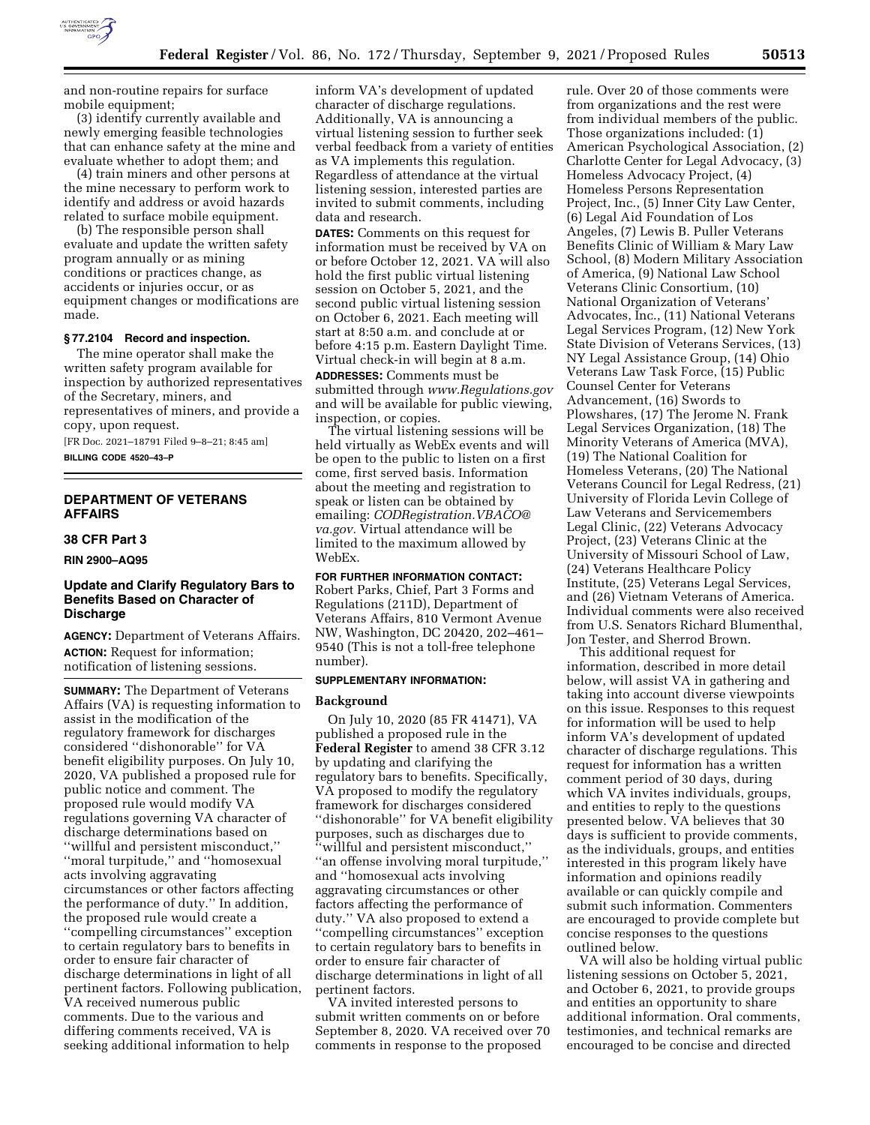

mobile equipment; (3) identify currently available and newly emerging feasible technologies that can enhance safety at the mine and evaluate whether to adopt them; and

(4) train miners and other persons at the mine necessary to perform work to identify and address or avoid hazards related to surface mobile equipment.

(b) The responsible person shall evaluate and update the written safety program annually or as mining conditions or practices change, as accidents or injuries occur, or as equipment changes or modifications are made.

# **§ 77.2104 Record and inspection.**

The mine operator shall make the written safety program available for inspection by authorized representatives of the Secretary, miners, and representatives of miners, and provide a copy, upon request.

[FR Doc. 2021–18791 Filed 9–8–21; 8:45 am] **BILLING CODE 4520–43–P** 

**DEPARTMENT OF VETERANS AFFAIRS** 

#### **38 CFR Part 3**

**RIN 2900–AQ95** 

# **Update and Clarify Regulatory Bars to Benefits Based on Character of Discharge**

**AGENCY:** Department of Veterans Affairs. **ACTION:** Request for information; notification of listening sessions.

**SUMMARY:** The Department of Veterans Affairs (VA) is requesting information to assist in the modification of the regulatory framework for discharges considered ''dishonorable'' for VA benefit eligibility purposes. On July 10, 2020, VA published a proposed rule for public notice and comment. The proposed rule would modify VA regulations governing VA character of discharge determinations based on ''willful and persistent misconduct,'' ''moral turpitude,'' and ''homosexual acts involving aggravating circumstances or other factors affecting the performance of duty.'' In addition, the proposed rule would create a ''compelling circumstances'' exception to certain regulatory bars to benefits in order to ensure fair character of discharge determinations in light of all pertinent factors. Following publication, VA received numerous public comments. Due to the various and differing comments received, VA is seeking additional information to help

inform VA's development of updated character of discharge regulations. Additionally, VA is announcing a virtual listening session to further seek verbal feedback from a variety of entities as VA implements this regulation. Regardless of attendance at the virtual listening session, interested parties are invited to submit comments, including data and research.

**DATES:** Comments on this request for information must be received by VA on or before October 12, 2021. VA will also hold the first public virtual listening session on October 5, 2021, and the second public virtual listening session on October 6, 2021. Each meeting will start at 8:50 a.m. and conclude at or before 4:15 p.m. Eastern Daylight Time. Virtual check-in will begin at 8 a.m. **ADDRESSES:** Comments must be

submitted through *[www.Regulations.gov](http://www.Regulations.gov)*  and will be available for public viewing, inspection, or copies.

The virtual listening sessions will be held virtually as WebEx events and will be open to the public to listen on a first come, first served basis. Information about the meeting and registration to speak or listen can be obtained by emailing: *[CODRegistration.VBACO@](mailto:CODRegistration.VBACO@va.gov) [va.gov.](mailto:CODRegistration.VBACO@va.gov)* Virtual attendance will be limited to the maximum allowed by WebEx.

**FOR FURTHER INFORMATION CONTACT:**  Robert Parks, Chief, Part 3 Forms and Regulations (211D), Department of Veterans Affairs, 810 Vermont Avenue NW, Washington, DC 20420, 202–461– 9540 (This is not a toll-free telephone number).

# **SUPPLEMENTARY INFORMATION:**

# **Background**

On July 10, 2020 (85 FR 41471), VA published a proposed rule in the **Federal Register** to amend 38 CFR 3.12 by updating and clarifying the regulatory bars to benefits. Specifically, VA proposed to modify the regulatory framework for discharges considered ''dishonorable'' for VA benefit eligibility purposes, such as discharges due to ''willful and persistent misconduct,'' ''an offense involving moral turpitude,'' and ''homosexual acts involving aggravating circumstances or other factors affecting the performance of duty.'' VA also proposed to extend a ''compelling circumstances'' exception to certain regulatory bars to benefits in order to ensure fair character of discharge determinations in light of all pertinent factors.

VA invited interested persons to submit written comments on or before September 8, 2020. VA received over 70 comments in response to the proposed

rule. Over 20 of those comments were from organizations and the rest were from individual members of the public. Those organizations included: (1) American Psychological Association, (2) Charlotte Center for Legal Advocacy, (3) Homeless Advocacy Project, (4) Homeless Persons Representation Project, Inc., (5) Inner City Law Center, (6) Legal Aid Foundation of Los Angeles, (7) Lewis B. Puller Veterans Benefits Clinic of William & Mary Law School, (8) Modern Military Association of America, (9) National Law School Veterans Clinic Consortium, (10) National Organization of Veterans' Advocates, Inc., (11) National Veterans Legal Services Program, (12) New York State Division of Veterans Services, (13) NY Legal Assistance Group, (14) Ohio Veterans Law Task Force, (15) Public Counsel Center for Veterans Advancement, (16) Swords to Plowshares, (17) The Jerome N. Frank Legal Services Organization, (18) The Minority Veterans of America (MVA), (19) The National Coalition for Homeless Veterans, (20) The National Veterans Council for Legal Redress, (21) University of Florida Levin College of Law Veterans and Servicemembers Legal Clinic, (22) Veterans Advocacy Project, (23) Veterans Clinic at the University of Missouri School of Law, (24) Veterans Healthcare Policy Institute, (25) Veterans Legal Services, and (26) Vietnam Veterans of America. Individual comments were also received from U.S. Senators Richard Blumenthal, Jon Tester, and Sherrod Brown.

This additional request for information, described in more detail below, will assist VA in gathering and taking into account diverse viewpoints on this issue. Responses to this request for information will be used to help inform VA's development of updated character of discharge regulations. This request for information has a written comment period of 30 days, during which VA invites individuals, groups, and entities to reply to the questions presented below. VA believes that 30 days is sufficient to provide comments, as the individuals, groups, and entities interested in this program likely have information and opinions readily available or can quickly compile and submit such information. Commenters are encouraged to provide complete but concise responses to the questions outlined below.

VA will also be holding virtual public listening sessions on October 5, 2021, and October 6, 2021, to provide groups and entities an opportunity to share additional information. Oral comments, testimonies, and technical remarks are encouraged to be concise and directed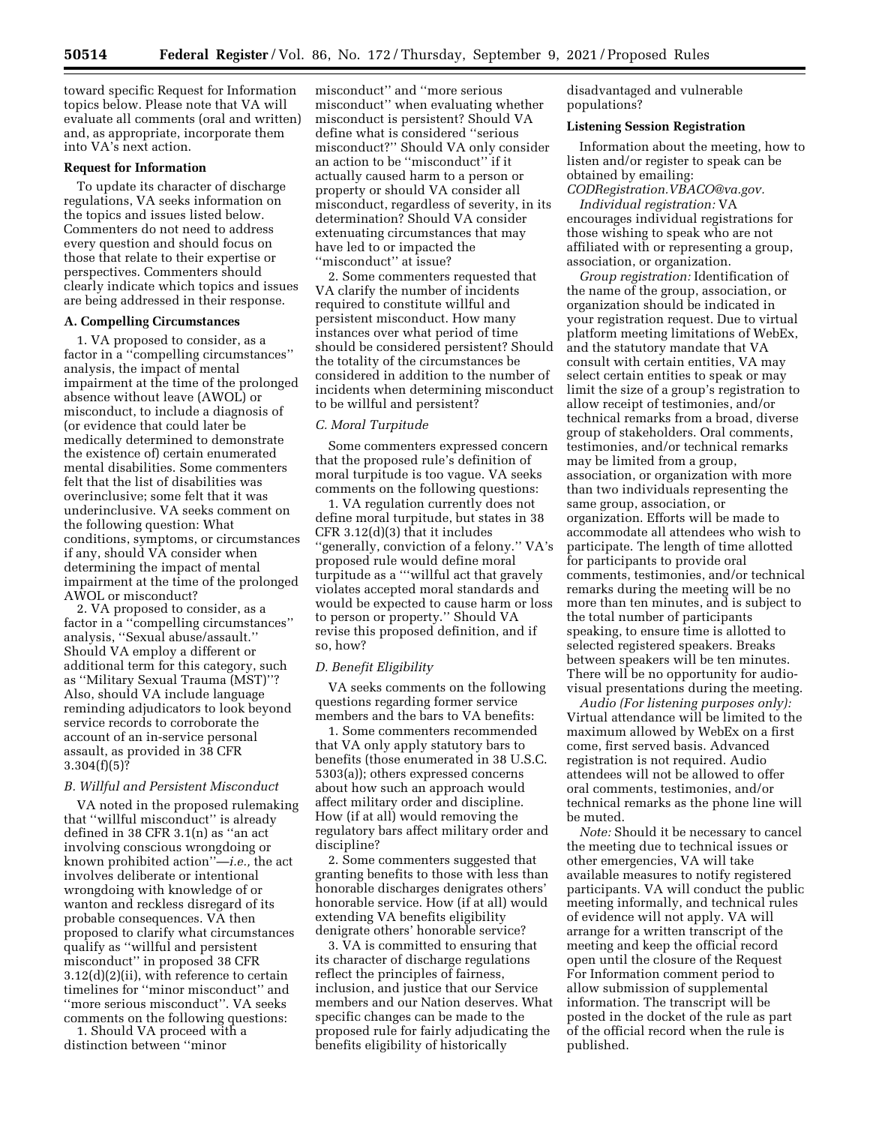toward specific Request for Information topics below. Please note that VA will evaluate all comments (oral and written) and, as appropriate, incorporate them into VA's next action.

### **Request for Information**

To update its character of discharge regulations, VA seeks information on the topics and issues listed below. Commenters do not need to address every question and should focus on those that relate to their expertise or perspectives. Commenters should clearly indicate which topics and issues are being addressed in their response.

### **A. Compelling Circumstances**

1. VA proposed to consider, as a factor in a ''compelling circumstances'' analysis, the impact of mental impairment at the time of the prolonged absence without leave (AWOL) or misconduct, to include a diagnosis of (or evidence that could later be medically determined to demonstrate the existence of) certain enumerated mental disabilities. Some commenters felt that the list of disabilities was overinclusive; some felt that it was underinclusive. VA seeks comment on the following question: What conditions, symptoms, or circumstances if any, should VA consider when determining the impact of mental impairment at the time of the prolonged AWOL or misconduct?

2. VA proposed to consider, as a factor in a ''compelling circumstances'' analysis, ''Sexual abuse/assault.'' Should VA employ a different or additional term for this category, such as ''Military Sexual Trauma (MST)''? Also, should VA include language reminding adjudicators to look beyond service records to corroborate the account of an in-service personal assault, as provided in 38 CFR  $3.304(f)(5)?$ 

# *B. Willful and Persistent Misconduct*

VA noted in the proposed rulemaking that ''willful misconduct'' is already defined in 38 CFR 3.1(n) as ''an act involving conscious wrongdoing or known prohibited action''—*i.e.,* the act involves deliberate or intentional wrongdoing with knowledge of or wanton and reckless disregard of its probable consequences. VA then proposed to clarify what circumstances qualify as ''willful and persistent misconduct'' in proposed 38 CFR 3.12(d)(2)(ii), with reference to certain timelines for ''minor misconduct'' and ''more serious misconduct''. VA seeks comments on the following questions:

1. Should VA proceed with a distinction between ''minor

misconduct'' and ''more serious misconduct'' when evaluating whether misconduct is persistent? Should VA define what is considered ''serious misconduct?'' Should VA only consider an action to be ''misconduct'' if it actually caused harm to a person or property or should VA consider all misconduct, regardless of severity, in its determination? Should VA consider extenuating circumstances that may have led to or impacted the "misconduct" at issue?

2. Some commenters requested that VA clarify the number of incidents required to constitute willful and persistent misconduct. How many instances over what period of time should be considered persistent? Should the totality of the circumstances be considered in addition to the number of incidents when determining misconduct to be willful and persistent?

#### *C. Moral Turpitude*

Some commenters expressed concern that the proposed rule's definition of moral turpitude is too vague. VA seeks comments on the following questions:

1. VA regulation currently does not define moral turpitude, but states in 38 CFR 3.12(d)(3) that it includes ''generally, conviction of a felony.'' VA's proposed rule would define moral turpitude as a '''willful act that gravely violates accepted moral standards and would be expected to cause harm or loss to person or property.'' Should VA revise this proposed definition, and if so, how?

#### *D. Benefit Eligibility*

VA seeks comments on the following questions regarding former service members and the bars to VA benefits:

1. Some commenters recommended that VA only apply statutory bars to benefits (those enumerated in 38 U.S.C. 5303(a)); others expressed concerns about how such an approach would affect military order and discipline. How (if at all) would removing the regulatory bars affect military order and discipline?

2. Some commenters suggested that granting benefits to those with less than honorable discharges denigrates others' honorable service. How (if at all) would extending VA benefits eligibility denigrate others' honorable service?

3. VA is committed to ensuring that its character of discharge regulations reflect the principles of fairness, inclusion, and justice that our Service members and our Nation deserves. What specific changes can be made to the proposed rule for fairly adjudicating the benefits eligibility of historically

disadvantaged and vulnerable populations?

### **Listening Session Registration**

Information about the meeting, how to listen and/or register to speak can be obtained by emailing:

*[CODRegistration.VBACO@va.gov.](mailto:CODRegistration.VBACO@va.gov) Individual registration:* VA encourages individual registrations for those wishing to speak who are not affiliated with or representing a group, association, or organization.

*Group registration:* Identification of the name of the group, association, or organization should be indicated in your registration request. Due to virtual platform meeting limitations of WebEx, and the statutory mandate that VA consult with certain entities, VA may select certain entities to speak or may limit the size of a group's registration to allow receipt of testimonies, and/or technical remarks from a broad, diverse group of stakeholders. Oral comments, testimonies, and/or technical remarks may be limited from a group, association, or organization with more than two individuals representing the same group, association, or organization. Efforts will be made to accommodate all attendees who wish to participate. The length of time allotted for participants to provide oral comments, testimonies, and/or technical remarks during the meeting will be no more than ten minutes, and is subject to the total number of participants speaking, to ensure time is allotted to selected registered speakers. Breaks between speakers will be ten minutes. There will be no opportunity for audiovisual presentations during the meeting.

*Audio (For listening purposes only):*  Virtual attendance will be limited to the maximum allowed by WebEx on a first come, first served basis. Advanced registration is not required. Audio attendees will not be allowed to offer oral comments, testimonies, and/or technical remarks as the phone line will be muted.

*Note:* Should it be necessary to cancel the meeting due to technical issues or other emergencies, VA will take available measures to notify registered participants. VA will conduct the public meeting informally, and technical rules of evidence will not apply. VA will arrange for a written transcript of the meeting and keep the official record open until the closure of the Request For Information comment period to allow submission of supplemental information. The transcript will be posted in the docket of the rule as part of the official record when the rule is published.